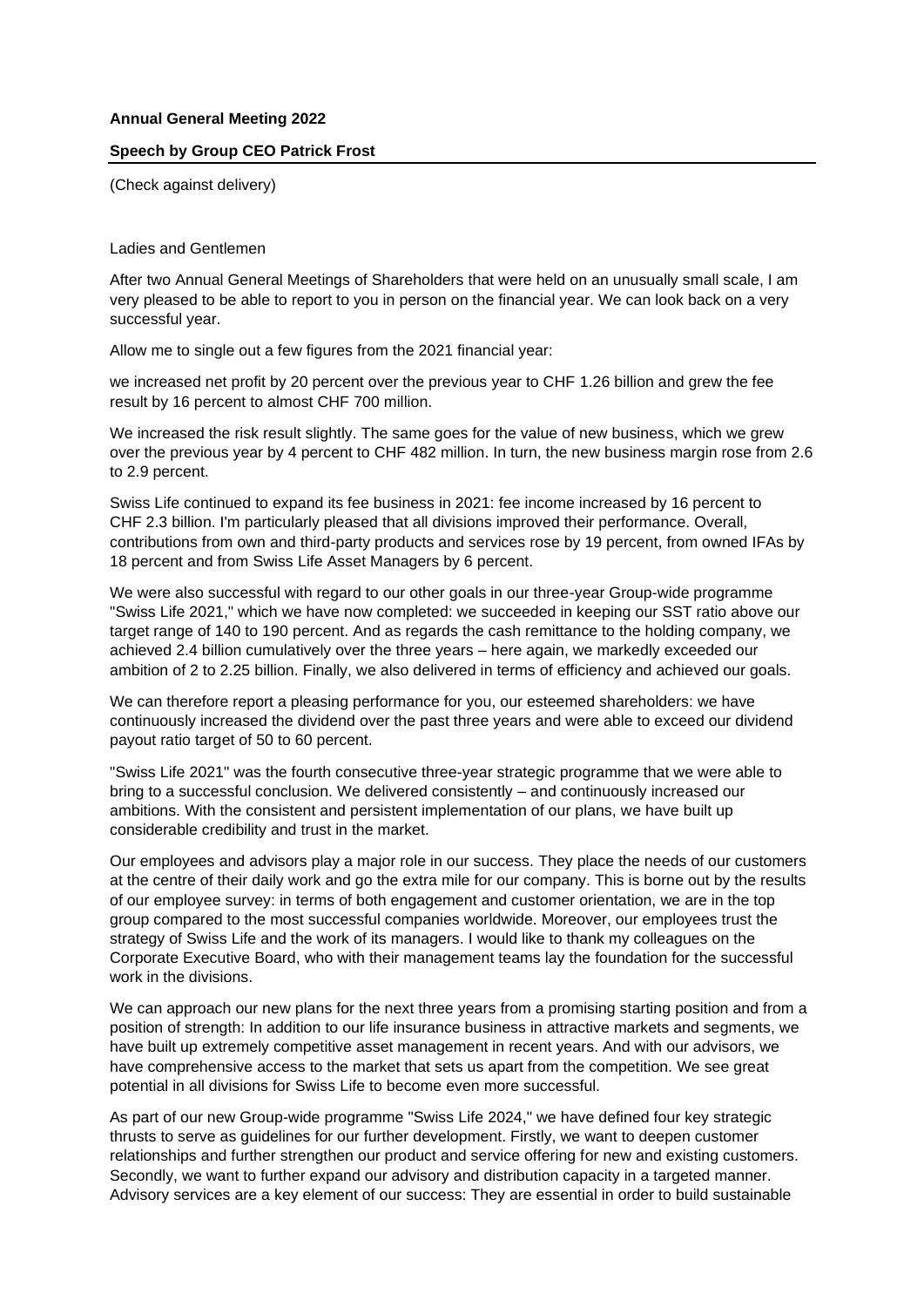## **Annual General Meeting 2022**

## **Speech by Group CEO Patrick Frost**

(Check against delivery)

Ladies and Gentlemen

After two Annual General Meetings of Shareholders that were held on an unusually small scale, I am very pleased to be able to report to you in person on the financial year. We can look back on a very successful year.

Allow me to single out a few figures from the 2021 financial year:

we increased net profit by 20 percent over the previous year to CHF 1.26 billion and grew the fee result by 16 percent to almost CHF 700 million.

We increased the risk result slightly. The same goes for the value of new business, which we grew over the previous year by 4 percent to CHF 482 million. In turn, the new business margin rose from 2.6 to 2.9 percent.

Swiss Life continued to expand its fee business in 2021: fee income increased by 16 percent to CHF 2.3 billion. I'm particularly pleased that all divisions improved their performance. Overall, contributions from own and third-party products and services rose by 19 percent, from owned IFAs by 18 percent and from Swiss Life Asset Managers by 6 percent.

We were also successful with regard to our other goals in our three-year Group-wide programme "Swiss Life 2021," which we have now completed: we succeeded in keeping our SST ratio above our target range of 140 to 190 percent. And as regards the cash remittance to the holding company, we achieved 2.4 billion cumulatively over the three years – here again, we markedly exceeded our ambition of 2 to 2.25 billion. Finally, we also delivered in terms of efficiency and achieved our goals.

We can therefore report a pleasing performance for you, our esteemed shareholders: we have continuously increased the dividend over the past three years and were able to exceed our dividend payout ratio target of 50 to 60 percent.

"Swiss Life 2021" was the fourth consecutive three-year strategic programme that we were able to bring to a successful conclusion. We delivered consistently – and continuously increased our ambitions. With the consistent and persistent implementation of our plans, we have built up considerable credibility and trust in the market.

Our employees and advisors play a major role in our success. They place the needs of our customers at the centre of their daily work and go the extra mile for our company. This is borne out by the results of our employee survey: in terms of both engagement and customer orientation, we are in the top group compared to the most successful companies worldwide. Moreover, our employees trust the strategy of Swiss Life and the work of its managers. I would like to thank my colleagues on the Corporate Executive Board, who with their management teams lay the foundation for the successful work in the divisions.

We can approach our new plans for the next three years from a promising starting position and from a position of strength: In addition to our life insurance business in attractive markets and segments, we have built up extremely competitive asset management in recent years. And with our advisors, we have comprehensive access to the market that sets us apart from the competition. We see great potential in all divisions for Swiss Life to become even more successful.

As part of our new Group-wide programme "Swiss Life 2024," we have defined four key strategic thrusts to serve as guidelines for our further development. Firstly, we want to deepen customer relationships and further strengthen our product and service offering for new and existing customers. Secondly, we want to further expand our advisory and distribution capacity in a targeted manner. Advisory services are a key element of our success: They are essential in order to build sustainable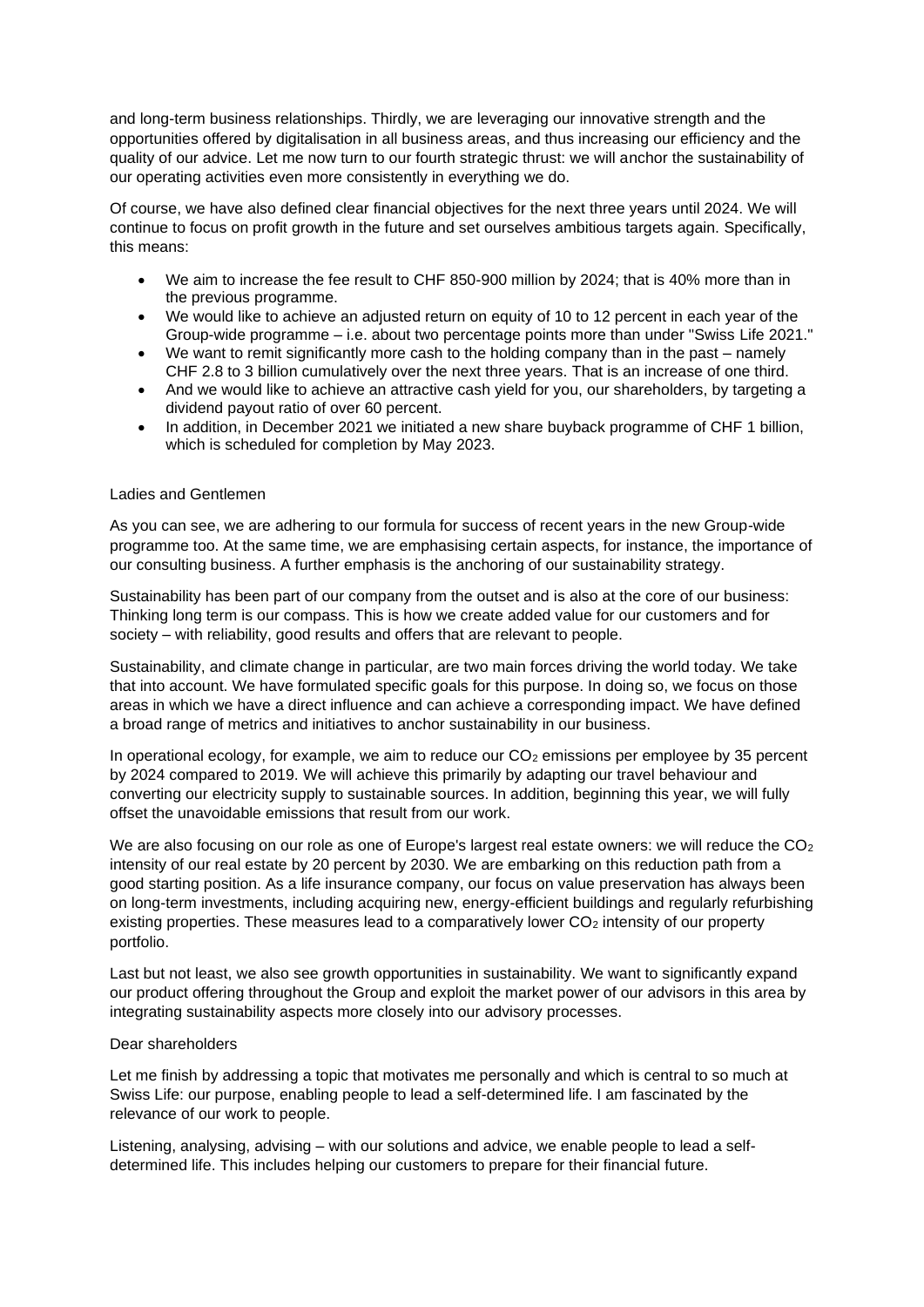and long-term business relationships. Thirdly, we are leveraging our innovative strength and the opportunities offered by digitalisation in all business areas, and thus increasing our efficiency and the quality of our advice. Let me now turn to our fourth strategic thrust: we will anchor the sustainability of our operating activities even more consistently in everything we do.

Of course, we have also defined clear financial objectives for the next three years until 2024. We will continue to focus on profit growth in the future and set ourselves ambitious targets again. Specifically, this means:

- We aim to increase the fee result to CHF 850-900 million by 2024; that is 40% more than in the previous programme.
- We would like to achieve an adjusted return on equity of 10 to 12 percent in each year of the Group-wide programme – i.e. about two percentage points more than under "Swiss Life 2021."
- We want to remit significantly more cash to the holding company than in the past namely CHF 2.8 to 3 billion cumulatively over the next three years. That is an increase of one third.
- And we would like to achieve an attractive cash yield for you, our shareholders, by targeting a dividend payout ratio of over 60 percent.
- In addition, in December 2021 we initiated a new share buyback programme of CHF 1 billion, which is scheduled for completion by May 2023.

## Ladies and Gentlemen

As you can see, we are adhering to our formula for success of recent years in the new Group-wide programme too. At the same time, we are emphasising certain aspects, for instance, the importance of our consulting business. A further emphasis is the anchoring of our sustainability strategy.

Sustainability has been part of our company from the outset and is also at the core of our business: Thinking long term is our compass. This is how we create added value for our customers and for society – with reliability, good results and offers that are relevant to people.

Sustainability, and climate change in particular, are two main forces driving the world today. We take that into account. We have formulated specific goals for this purpose. In doing so, we focus on those areas in which we have a direct influence and can achieve a corresponding impact. We have defined a broad range of metrics and initiatives to anchor sustainability in our business.

In operational ecology, for example, we aim to reduce our  $CO<sub>2</sub>$  emissions per employee by 35 percent by 2024 compared to 2019. We will achieve this primarily by adapting our travel behaviour and converting our electricity supply to sustainable sources. In addition, beginning this year, we will fully offset the unavoidable emissions that result from our work.

We are also focusing on our role as one of Europe's largest real estate owners: we will reduce the  $CO<sub>2</sub>$ intensity of our real estate by 20 percent by 2030. We are embarking on this reduction path from a good starting position. As a life insurance company, our focus on value preservation has always been on long-term investments, including acquiring new, energy-efficient buildings and regularly refurbishing existing properties. These measures lead to a comparatively lower  $CO<sub>2</sub>$  intensity of our property portfolio.

Last but not least, we also see growth opportunities in sustainability. We want to significantly expand our product offering throughout the Group and exploit the market power of our advisors in this area by integrating sustainability aspects more closely into our advisory processes.

## Dear shareholders

Let me finish by addressing a topic that motivates me personally and which is central to so much at Swiss Life: our purpose, enabling people to lead a self-determined life. I am fascinated by the relevance of our work to people.

Listening, analysing, advising – with our solutions and advice, we enable people to lead a selfdetermined life. This includes helping our customers to prepare for their financial future.